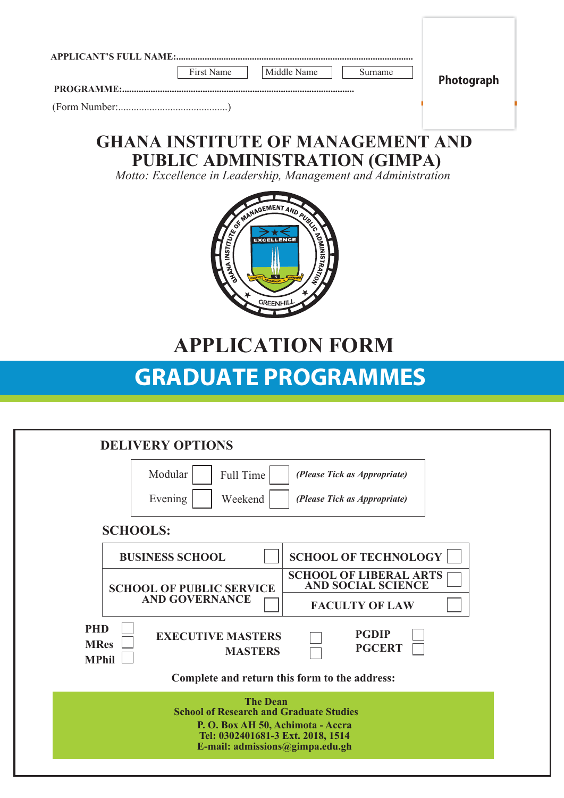|                 | <b>APPLICANT'S FULL NAME:</b><br>First Name<br>Middle Name<br>Surname<br>Photograph                    |
|-----------------|--------------------------------------------------------------------------------------------------------|
| PROGRAMME:      |                                                                                                        |
|                 | <b>GHANA INSTITUTE OF MANAGEMENT AND</b>                                                               |
|                 | <b>PUBLIC ADMINISTRATION (GIMPA)</b><br>Motto: Excellence in Leadership, Management and Administration |
|                 | NAGEMENT AND AURY<br>$\delta$<br><b>INSTITUTE</b><br><b>EXCELLENCE</b>                                 |
|                 | <b>APPLICATION FORM</b>                                                                                |
|                 | <b>GRADUATE PROGRAMMES</b>                                                                             |
|                 |                                                                                                        |
|                 |                                                                                                        |
|                 | <b>DELIVERY OPTIONS</b>                                                                                |
|                 | Modular<br>Full Time<br>(Please Tick as Appropriate)                                                   |
|                 | Evening<br>(Please Tick as Appropriate)<br>Weekend                                                     |
| <b>SCHOOLS:</b> |                                                                                                        |
|                 | <b>SCHOOL OF TECHNOLOGY</b><br><b>BUSINESS SCHOOL</b>                                                  |

**MPhil MASTERS Complete and return this form to the address: The Dean School of Research and Graduate Studies**

 $\Box$ 

**PGDIP PGCERT**

**PHD** EXECUTIVE MASTERS

**MRes** 

**P. O. Box AH 50, Achimota - Accra Tel: 0302401681-3 Ext. 2018, 1514 E-mail: admissions@gimpa.edu.gh**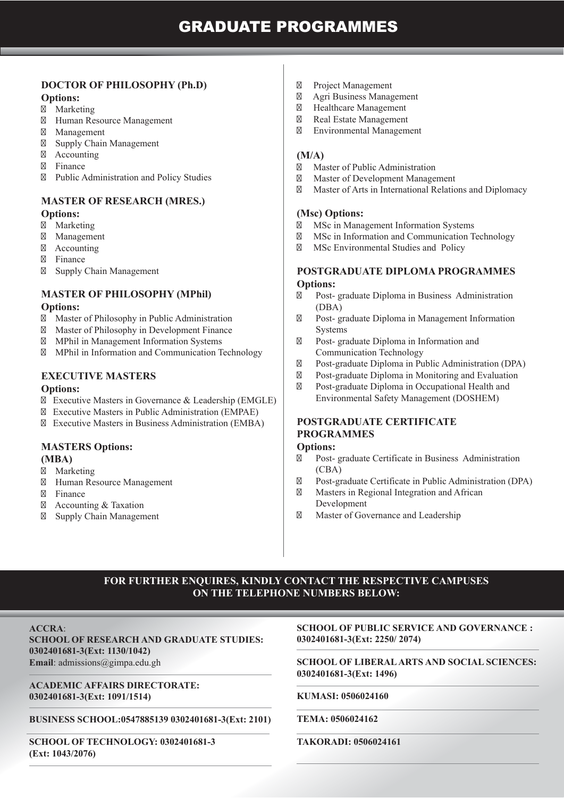## **DOCTOR OF PHILOSOPHY (Ph.D)**

### **Options:**

 Marketing Human Resource Management Management Supply Chain Management Accounting Finance Public Administration and Policy Studies

# **MASTER OF RESEARCH (MRES.)**

#### **Options:**

 Marketing Management Accounting Finance Supply Chain Management

# **MASTER OF PHILOSOPHY (MPhil)**

### **Options:**

 Master of Philosophy in Public Administration Master of Philosophy in Development Finance MPhil in Management Information Systems MPhil in Information and Communication Technology

## **EXECUTIVE MASTERS**

### **Options:**

 Executive Masters in Governance & Leadership (EMGLE) Executive Masters in Public Administration (EMPAE) Executive Masters in Business Administration (EMBA)

# **MASTERS Options:**

**(MBA)** Marketing Human Resource Management Finance Accounting & Taxation Supply Chain Management

 Project Management Agri Business Management Healthcare Management Real Estate Management Environmental Management

## **(M/A)**

 Master of Public Administration Master of Development Management Master of Arts in International Relations and Diplomacy

## **(Msc) Options:**

 MSc in Management Information Systems MSc in Information and Communication Technology MSc Environmental Studies and Policy

### **POSTGRADUATE DIPLOMA PROGRAMMES Options:**

 Post- graduate Diploma in Business Administration (DBA) Post- graduate Diploma in Management Information **Systems**  Post- graduate Diploma in Information and Communication Technology Post-graduate Diploma in Public Administration (DPA) Post-graduate Diploma in Monitoring and Evaluation Post-graduate Diploma in Occupational Health and Environmental Safety Management (DOSHEM)

# **POSTGRADUATE CERTIFICATE PROGRAMMES**

### **Options:**

 Post- graduate Certificate in Business Administration (CBA) Post-graduate Certificate in Public Administration (DPA) Masters in Regional Integration and African Development Master of Governance and Leadership

# **FOR FURTHER ENQUIRES, KINDLY CONTACT THE RESPECTIVE CAMPUSES ON THE TELEPHONE NUMBERS BELOW:**

#### **ACCRA**:

## **SCHOOL OF RESEARCH AND GRADUATE STUDIES: 0302401681-3(Ext: 1130/1042) Email**: admissions@gimpa.edu.gh

**ACADEMIC AFFAIRS DIRECTORATE: 0302401681-3(Ext: 1091/1514)**

**BUSINESS SCHOOL:0547885139 0302401681-3(Ext: 2101)**

**SCHOOL OF TECHNOLOGY: 0302401681-3 (Ext: 1043/2076)** 

#### **SCHOOL OF PUBLIC SERVICE AND GOVERNANCE : 0302401681-3(Ext: 2250/ 2074)**

**SCHOOL OF LIBERAL ARTS AND SOCIAL SCIENCES: 0302401681-3(Ext: 1496)**

**KUMASI: 0506024160**

**TEMA: 0506024162** 

**TAKORADI: 0506024161**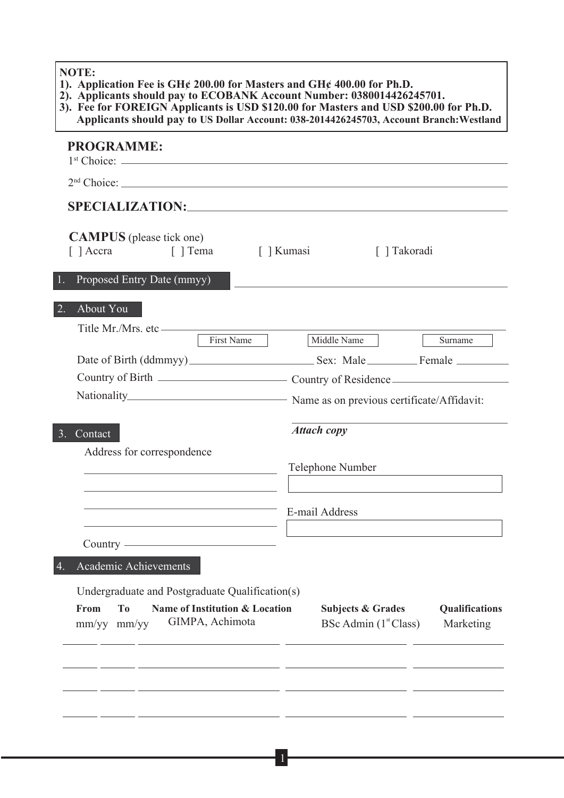#### **NOTE:**

- **1). Application Fee is GH¢ 200.00 for Masters and GH¢ 400.00 for Ph.D.**
- **2). Applicants should pay to ECOBANK Account Number: 0380014426245701. 3). Fee for FOREIGN Applicants is USD \$120.00 for Masters and USD \$200.00 for Ph.D.**
- **Applicants should pay to US Dollar Account: 038-2014426245703, Account Branch:Westland**

| <b>PROGRAMME:</b>                                                                                                                                                                                                                                                           |                                                                   |                             |
|-----------------------------------------------------------------------------------------------------------------------------------------------------------------------------------------------------------------------------------------------------------------------------|-------------------------------------------------------------------|-----------------------------|
|                                                                                                                                                                                                                                                                             |                                                                   |                             |
| <b>SPECIALIZATION:</b> SPECIALIZATION:                                                                                                                                                                                                                                      |                                                                   |                             |
| <b>CAMPUS</b> (please tick one)<br>[ ] Accra [ ] Tema                                                                                                                                                                                                                       | [ ] Kumasi<br>[ ] Takoradi                                        |                             |
| Proposed Entry Date (mmyy)                                                                                                                                                                                                                                                  |                                                                   |                             |
| $\overline{2}$ .<br>About You                                                                                                                                                                                                                                               |                                                                   |                             |
| Title Mr./Mrs. etc <u>First Name</u>                                                                                                                                                                                                                                        | Middle Name                                                       | Surname                     |
|                                                                                                                                                                                                                                                                             |                                                                   |                             |
|                                                                                                                                                                                                                                                                             |                                                                   |                             |
|                                                                                                                                                                                                                                                                             |                                                                   |                             |
| 3 <sub>1</sub><br>Contact<br>Address for correspondence<br>the control of the control of the control of the control of the control of the control of<br>the control of the control of the control of the control of the control of the control of<br>Country <u>example</u> | <b>Attach copy</b><br>Telephone Number<br>E-mail Address          |                             |
| Academic Achievements<br>4.                                                                                                                                                                                                                                                 |                                                                   |                             |
| Undergraduate and Postgraduate Qualification(s)<br><b>Name of Institution &amp; Location</b><br>From<br>T <sub>0</sub><br>GIMPA, Achimota<br>mm/yy mm/yy                                                                                                                    | <b>Subjects &amp; Grades</b><br>BSc Admin (1 <sup>st</sup> Class) | Qualifications<br>Marketing |
|                                                                                                                                                                                                                                                                             |                                                                   |                             |

1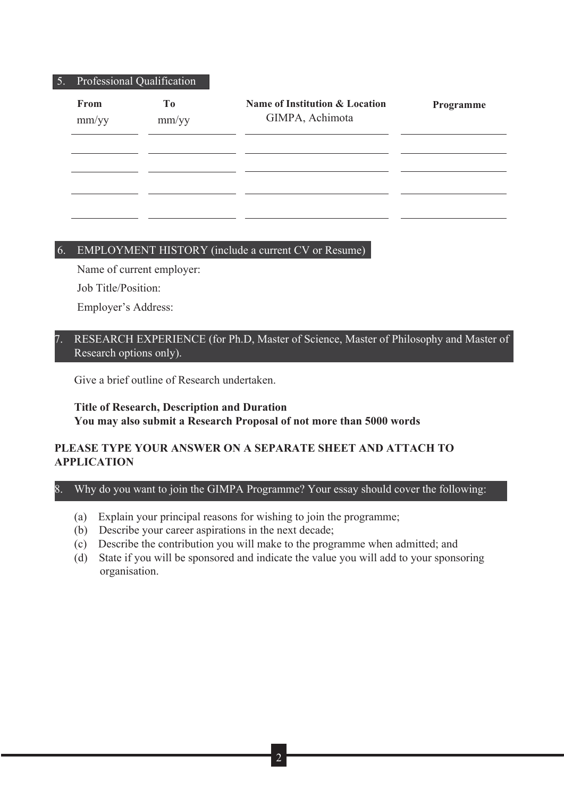#### 5. Professional Qualification

| From<br>mm/yy | To<br>mm/yy | Name of Institution & Location<br>GIMPA, Achimota | Programme |
|---------------|-------------|---------------------------------------------------|-----------|
|               |             |                                                   |           |
|               |             |                                                   |           |

## 6. EMPLOYMENT HISTORY (include a current CV or Resume)

Name of current employer:

Job Title/Position:

٦

I

Employer's Address:

## RESEARCH EXPERIENCE (for Ph.D, Master of Science, Master of Philosophy and Master of Research options only).

Give a brief outline of Research undertaken.

# **Title of Research, Description and Duration You may also submit a Research Proposal of not more than 5000 words**

# **PLEASE TYPE YOUR ANSWER ON A SEPARATE SHEET AND ATTACH TO APPLICATION**

# 8. Why do you want to join the GIMPA Programme? Your essay should cover the following:

- (a) Explain your principal reasons for wishing to join the programme;
- (b) Describe your career aspirations in the next decade;
- (c) Describe the contribution you will make to the programme when admitted; and
- (d) State if you will be sponsored and indicate the value you will add to your sponsoring organisation.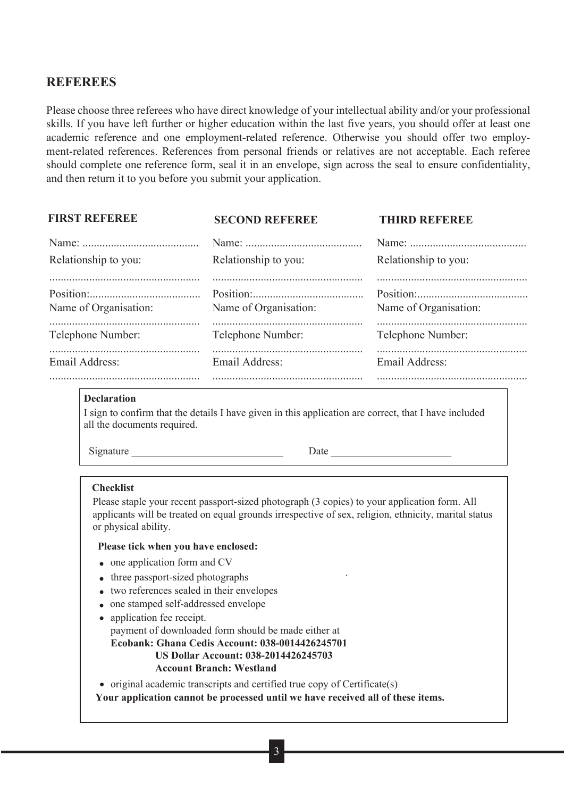# **REFEREES**

Please choose three referees who have direct knowledge of your intellectual ability and/or your professional skills. If you have left further or higher education within the last five years, you should offer at least one academic reference and one employment-related reference. Otherwise you should offer two employment-related references. References from personal friends or relatives are not acceptable. Each referee should complete one reference form, seal it in an envelope, sign across the seal to ensure confidentiality, and then return it to you before you submit your application.

| <b>FIRST REFEREE</b>  | <b>SECOND REFEREE</b> | THIRD REFEREE         |
|-----------------------|-----------------------|-----------------------|
| Relationship to you:  | Relationship to you:  | Relationship to you:  |
| Name of Organisation: | Name of Organisation: | Name of Organisation: |
| Telephone Number:     | Telephone Number:     | Telephone Number:     |
| Email Address:        | Email Address:        | Email Address:        |
|                       |                       |                       |

#### **Declaration**

I sign to confirm that the details I have given in this application are correct, that I have included all the documents required.

Signature Date Date

#### **Checklist**

Please staple your recent passport-sized photograph (3 copies) to your application form. All applicants will be treated on equal grounds irrespective of sex, religion, ethnicity, marital status or physical ability.

#### **Please tick when you have enclosed:**

- 
- one application form and CV<br>• three passport-sized photographs
- two references sealed in their envelopes
- one stamped self-addressed envelope
- application fee receipt. payment of downloaded form should be made either at **Ecobank: Ghana Cedis Account: 038-0014426245701 US Dollar Account: 038-2014426245703 Account Branch: Westland**

• original academic transcripts and certified true copy of Certificate(s)

**Your application cannot be processed until we have received all of these items.**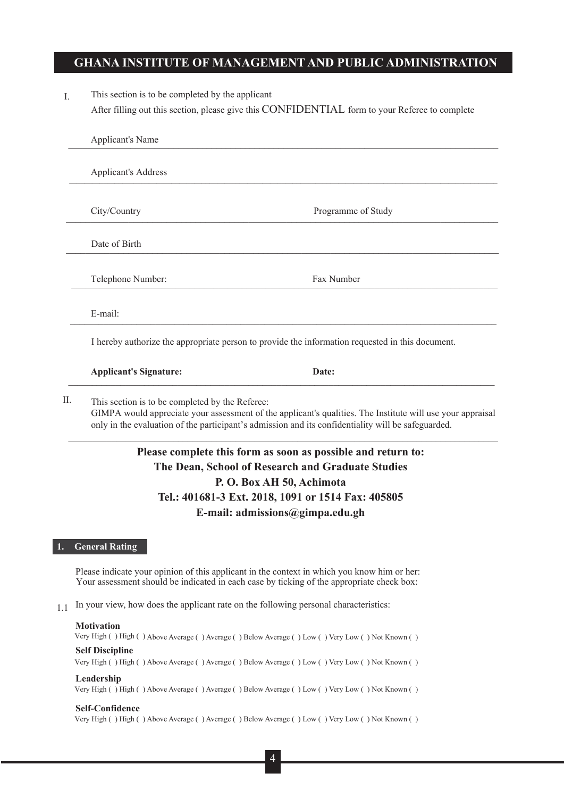## **GHANA INSTITUTE OF MANAGEMENT AND PUBLIC ADMINISTRATION**

I. This section is to be completed by the applicant After filling out this section, please give this CONFIDENTIAL form to your Referee to complete

| <b>Applicant's Address</b>    |                                                                                                  |
|-------------------------------|--------------------------------------------------------------------------------------------------|
|                               |                                                                                                  |
| City/Country                  | Programme of Study                                                                               |
|                               |                                                                                                  |
| Date of Birth                 |                                                                                                  |
| Telephone Number:             | Fax Number                                                                                       |
|                               |                                                                                                  |
| E-mail:                       |                                                                                                  |
|                               | I hereby authorize the appropriate person to provide the information requested in this document. |
| <b>Applicant's Signature:</b> | Date:                                                                                            |

# **Please complete this form as soon as possible and return to: The Dean, School of Research and Graduate Studies P. O. Box AH 50, Achimota Tel.: 401681-3 Ext. 2018, 1091 or 1514 Fax: 405805 E-mail: admissions@gimpa.edu.gh**

 $\_$  ,  $\_$  ,  $\_$  ,  $\_$  ,  $\_$  ,  $\_$  ,  $\_$  ,  $\_$  ,  $\_$  ,  $\_$  ,  $\_$  ,  $\_$  ,  $\_$  ,  $\_$  ,  $\_$  ,  $\_$  ,  $\_$  ,  $\_$  ,  $\_$  ,  $\_$  ,  $\_$  ,  $\_$  ,  $\_$  ,  $\_$  ,  $\_$  ,  $\_$  ,  $\_$  ,  $\_$  ,  $\_$  ,  $\_$  ,  $\_$  ,  $\_$  ,  $\_$  ,  $\_$  ,  $\_$  ,  $\_$  ,  $\_$  ,

only in the evaluation of the participant's admission and its confidentiality will be safeguarded.

#### **1. General Rating**

Please indicate your opinion of this applicant in the context in which you know him or her: Your assessment should be indicated in each case by ticking of the appropriate check box:

1.1 In your view, how does the applicant rate on the following personal characteristics:

#### **Motivation**

Very High ( ) High ( ) Above Average ( ) Average ( ) Below Average ( ) Low ( ) Very Low ( ) Not Known ( )

### **Self Discipline**

Very High ( ) High ( ) Above Average ( ) Average ( ) Below Average ( ) Low ( ) Very Low ( ) Not Known ( )

#### **Leadership**

Very High ( ) High ( ) Above Average ( ) Average ( ) Below Average ( ) Low ( ) Very Low ( ) Not Known ( )

#### **Self-Confidence**

Very High ( ) High ( ) Above Average ( ) Average ( ) Below Average ( ) Low ( ) Very Low ( ) Not Known ( )